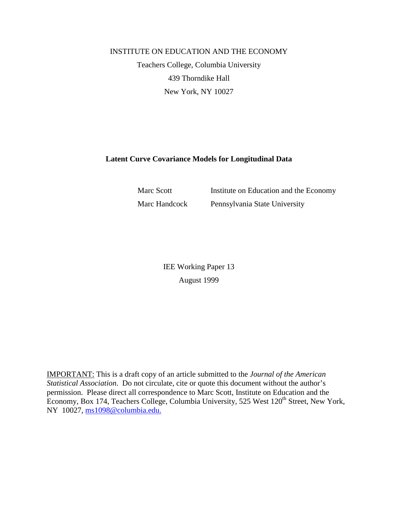## INSTITUTE ON EDUCATION AND THE ECONOMY Teachers College, Columbia University 439 Thorndike Hall New York, NY 10027

## **Latent Curve Covariance Models for Longitudinal Data**

Marc Scott Institute on Education and the Economy Marc Handcock Pennsylvania State University

> IEE Working Paper 13 August 1999

IMPORTANT: This is a draft copy of an article submitted to the *Journal of the American Statistical Association*. Do not circulate, cite or quote this document without the author's permission. Please direct all correspondence to Marc Scott, Institute on Education and the Economy, Box 174, Teachers College, Columbia University, 525 West 120<sup>th</sup> Street, New York, NY 10027, ms1098@columbia.edu.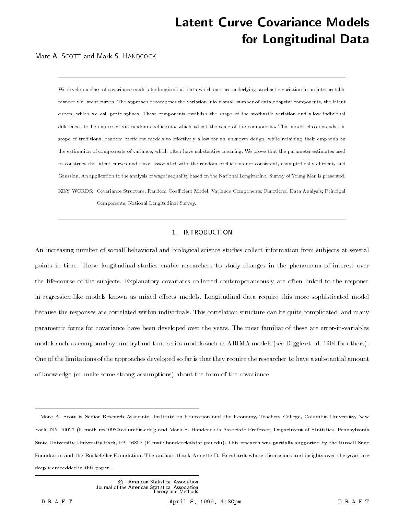# Latent Curve Covariance Modelsfor Longitudinal Data

Marc A. SCOTT and Mark S. HANDCOCK

We develop a class of covariance models for longitudinal data which capture underlying stochastic variation in an interpretable manner via latent curves. The approach decomposes the variation into a small number of data-adaptive components, the latent curves, which we call proto-splines. These components establish the shape of the stochastic variation and allow individual differences to be expressed via random coefficients, which adjust the scale of the components. This model class extends the scope of traditional random coeffcient models to effectively allow for an unknown design, while retaining their emphasis on the estimation of components of variance, which often have substantive meaning. We prove that the parameter estimates used to construct the latent curves and those associated with the random coefficients are consistent, asymptotically efficient, and Gaussian. An application to the analysis of wage inequality based on the National Longitudinal Survey of Young Men is presented. KEY WORDS: Covariance Structure; Random Coefficient Model; Variance Components; Functional Data Analysis; Principal Components; National Longitudinal Survey.

## 1. INTRODUCTION

An increasing number of social, behavioral and biological science studies collect information from subjects at several points in time. These longitudinal studies enable researchers to study changes in the phenomena of interest over the life-course of the subjects. Explanatory covariates collected contemporaneously are often linked to the response in regression-like models known as mixed effects models. Longitudinal data require this more sophisticated model because the responses are correlated within individuals. This correlation structure can be quite complicated, and many parametric forms for covariance have been developed over the years. The most familiar of these are error-in-variables models such as compound symmetry, and time series models such as ARIMA models (see Diggle et. al. 1994 for others). One of the limitations of the approaches developed so far is that they require the researcher to have a substantial amount of knowledge (or make some strong assumptions) about the form of the covariance.

Marc A. Scott is Senior Research Associate, Institute on Education and the Economy, Teachers College, Columbia University, New York, NY 10027 (E-mail: ms1098@columbia.edu); and Mark S. Handcock is Associate Professor, Department of Statistics, Pennsylvania State University, University Park, PA 16802 (E-mail: handcock@stat.psu.edu). This research was partially supported by the Russell Sage Foundation and the Rockefeller Foundation. The authors thank Annette D. Bernhardt whose discussions and insights over the years are deeply embedded in this paper.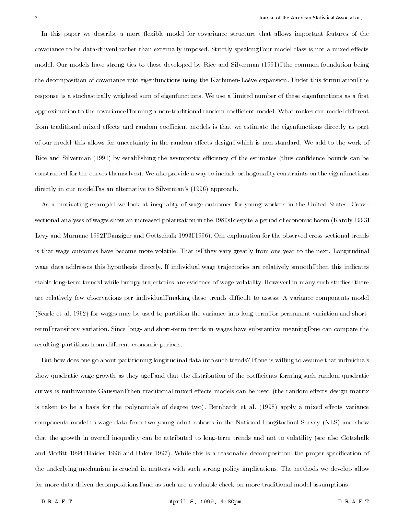In this paper we describe a more flexible model for covariance structure that allows important features of the covariance to be data-driven, rather than externally imposed. Strictly speaking, our model class is not a mixed effects model. Our models have strong ties to those developed by Rice and Silverman (1991), the common foundation being the decomposition of covariance into eigenfunctions using the Karhunen-Loeve expansion. Under this formulation, the response is a stochastically weighted sum of eigenfunctions. We use a limited number of these eigenfunctions as a first approximation to the covariance, forming a non-traditional random coefficient model. What makes our model different from traditional mixed effects and random coefficient models is that we estimate the eigenfunctions directly as part of our model-this allows for uncertainty in the random effects design, which is non-standard. We add to the work of Rice and Silverman (1991) by establishing the asymptotic efficiency of the estimates (thus confidence bounds can be constructed for the curves themselves). We also provide a way to include orthogonality constraints on the eigenfunctions directly in our model, as an alternative to Silverman's (1996) approach.

As a motivating example, we look at inequality of wage outcomes for young workers in the United States. Crosssectional analyses of wages show an increased polarization in the 1980s, despite a period of economic boom (Karoly 1993, Levy and Murnane 1992, Danziger and Gottschalk 1993, 1996). One explanation for the observed cross-sectional trends is that wage outcomes have become more volatile. That is, they vary greatly from one year to the next. Longitudinal wage data addresses this hypothesis directly. If individual wage trajectories are relatively smooth, then this indicates stable long-term trends, while bumpy trajectories are evidence of wage volatility. However, in many such studies, there are relatively few observations per individual, making these trends difficult to assess. A variance components model (Searle et al. 1992) for wages may be used to partition the variance into long-term, or permanent variation and shortterm, transitory variation. Since long- and short-term trends in wages have substantive meaning, one can compare the resulting partitions from different economic periods.

But how does one go about partitioning longitudinal data into such trends? If one is willing to assume that individuals show quadratic wage growth as they age, and that the distribution of the coefficients forming such random quadratic curves is multivariate Gaussian, then traditional mixed effects models can be used (the random effects design matrix is taken to be a basis for the polynomials of degree two). Bernhardt et al. (1998) apply a mixed effects variance components model to wage data from two young adult cohorts in the National Longitudinal Survey (NLS) and show that the growth in overall inequality can be attributed to long-term trends and not to volatility (see also Gottshalk and Moffitt 1994, Haider 1996 and Baker 1997). While this is a reasonable decomposition, the proper specification of the underlying mechanism is crucial in matters with such strong policy implications. The methods we develop allow for more data-driven decompositions, and as such are a valuable check on more traditional model assumptions.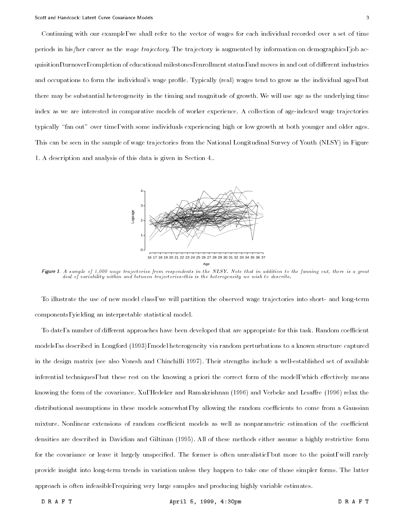Continuing with our example, we shall refer to the vector of wages for each individual recorded over a set of time periods in his/her career as the wage trajectory. The trajectory is augmented by information on demographics, job acquisition, turnover, completion of educational milestones, enrollment status, and moves in and out of different industries and occupations to form the individual's wage profile. Typically (real) wages tend to grow as the individual ages, but there may be substantial heterogeneity in the timing and magnitude of growth. We will use age as the underlying time index as we are interested in comparative models of worker experience. A collection of age-indexed wage trajectories typically \fan out" over time, with some individuals experiencing high or low growth at both younger and older ages. This can be seen in the sample of wage trajectories from the National Longitudinal Survey of Youth (NLSY) in Figure 1. A description and analysis of this data is given in Section 4..



Figure 1. A sample of 1,000 wage trajectories from respondents in the NLSY. Note that in addition to the fanning out, there is a great deal of variability within and between trajectories-this is the heterogeneity we wish to describe.

To illustrate the use of new model class, we will partition the observed wage trajectories into short- and long-term components, yielding an interpretable statistical model.

To date, a number of different approaches have been developed that are appropriate for this task. Random coefficient models, as described in Longford (1993), model heterogeneity via random perturbations to a known structure captured in the design matrix (see also Vonesh and Chinchilli 1997). Their strengths include a well-established set of available inferential techniques, but these rest on the knowing a priori the correct form of the model, which effectively means knowing the form of the covariance. Xu, Hedeker and Ramakrishnan (1996) and Verbeke and Lesaffre (1996) relax the distributional assumptions in these models somewhat, by allowing the random coefficients to come from a Gaussian mixture. Nonlinear extensions of random coefficient models as well as nonparametric estimation of the coefficient densities are described in Davidian and Giltinan (1995). All of these methods either assume a highly restrictive form for the covariance or leave it largely unspecied. The former is often unrealistic, but more to the point, will rarely provide insight into long-term trends in variation unless they happen to take one of those simpler forms. The latter approach is often infeasible, requiring very large samples and producing highly variable estimates.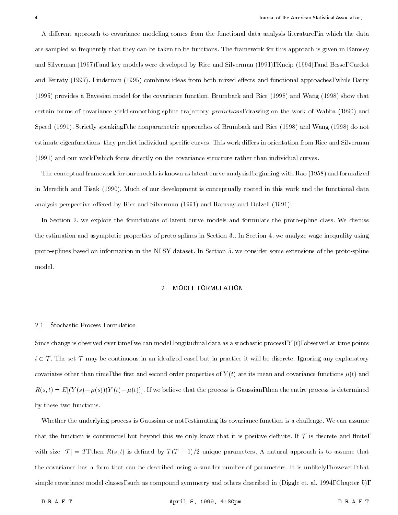A different approach to covariance modeling comes from the functional data analysis literature, in which the data are sampled so frequently that they can be taken to be functions. The framework for this approach is given in Ramsey and Silverman (1997), and key models were developed by Rice and Silverman (1991), Kneip (1994), and Besse, Cardot and Ferraty (1997). Lindstrom (1995) combines ideas from both mixed effects and functional approaches, while Barry (1995) provides a Bayesian model for the covariance function. Brumback and Rice (1998) and Wang (1998) show that certain forms of covariance yield smoothing spline trajectory predictions, drawing on the work of Wahba (1990) and Speed (1991). Strictly speaking, the nonparametric approaches of Brumback and Rice (1998) and Wang (1998) do not estimate eigenfunctions-they predict individual-specific curves. This work differs in orientation from Rice and Silverman (1991) and our work, which focus directly on the covariance structure rather than individual curves.

The conceptual framework for our models is known as latent curve analysis, beginning with Rao (1958) and formalized in Meredith and Tisak (1990). Much of our development is conceptually rooted in this work and the functional data analysis perspective offered by Rice and Silverman (1991) and Ramsay and Dalzell (1991).

In Section 2. we explore the foundations of latent curve models and formulate the proto-spline class. We discuss the estimation and asymptotic properties of proto-splines in Section 3.. In Section 4. we analyze wage inequality using proto-splines based on information in the NLSY dataset. In Section 5. we consider some extensions of the proto-spline model.

#### 2. MODEL FORMULATION

#### Stochastic Process Formulation  $2.1$

Since change is observed over time, we can model longitudinal data as a stochastic process,  $Y(t)$ , observed at time points  $\tau$  , and set  $\tau$  , and an identifiable in an identifiable case, but in practice is will be discrete. Only the discrete  $\tau$ covariates other than time, the first and second order properties of  $Y(t)$  are its mean and covariance functions  $\mu(t)$  and  $R(s,t) = E[(Y(s)-\mu(s))(Y(t)-\mu(t))]$ . If we believe that the process is Gaussian, then the entire process is determined by these two functions.

Whether the underlying process is Gaussian or not, estimating its covariance function is a challenge. We can assume that the function is continuous, but beyond this we only know that it is positive definite. If  $\tau$  is discrete and finite, with size  $|{\cal T}| = T$ , then  $R(s,t)$  is defined by  $T(T+1)/2$  unique parameters. A natural approach is to assume that the covariance has a form that can be described using a smaller number of parameters. It is unlikely, however, that simple covariance model classes, such as compound symmetry and others described in (Diggle et. al. 1994, Chapter 5),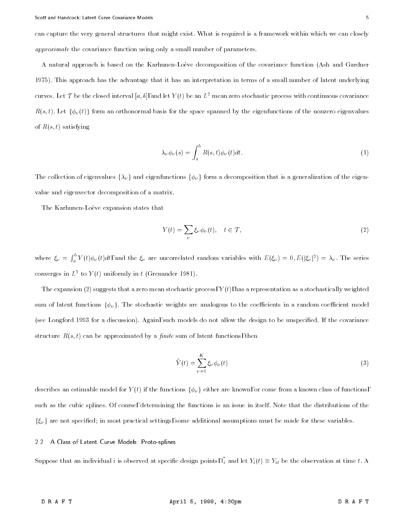can capture the very general structures that might exist. What is required is a framework within which we can closely approximate the covariance function using only a small number of parameters.

A natural approach is based on the Karhunen-Loeve decomposition of the covariance function (Ash and Gardner 1975). This approach has the advantage that it has an interpretation in terms of a small number of latent underlying curves. Let T be the closed interval [a, b], and let  $Y(t)$  be an  $L^2$  mean zero stochastic process with continuous covariance  $R(s,t)$ . Let  $\{\phi_{\nu}(t)\}$  form an orthonormal basis for the space spanned by the eigenfunctions of the nonzero eigenvalues of  $R(s, t)$  satisfying

$$
\lambda_{\nu}\phi_{\nu}(s) = \int_{a}^{b} R(s,t)\phi_{\nu}(t)dt.
$$
\n(1)

The collection of eigenvalues  $\{\lambda_\nu\}$  and eigenfunctions  $\{\phi_\nu\}$  form a decomposition that is a generalization of the eigenvalue and eigenvector decomposition of a matrix.

The Karhunen-Loève expansion states that

$$
Y(t) = \sum_{\nu} \xi_{\nu} \phi_{\nu}(t), \quad t \in \mathcal{T}, \tag{2}
$$

where  $\xi_{\nu} = \int_{a}^{b} Y(t) \phi_{\nu}(t) dt$ , and the  $\xi_{\nu}$  are uncorrelated random variables with  $E(\xi_{\nu}) = 0, E(|\xi_{\nu}|^2) = \lambda_{\nu}$ . The series converges in  $L^+$  to  $Y(t)$  uniformly in  $t$  (Grenander 1981).

The expansion (2) suggests that a zero mean stochastic process,  $Y(t)$ , has a representation as a stochastically weighted sum of latent functions  $\{\phi_{\nu}\}\$ . The stochastic weights are analogous to the coefficients in a random coefficient model (see Longford 1993 for a discussion). Again, such models do not allow the design to be unspecied. If the covariance structure  $R(s,t)$  can be approximated by a *finite* sum of latent functions, then

$$
\tilde{Y}(t) = \sum_{\nu=1}^{K} \xi_{\nu} \phi_{\nu}(t)
$$
\n(3)

describes an estimable model for  $Y(t)$  if the functions  $\{\phi_\nu\}$  either are known, or come from a known class of functions, such as the cubic splines. Of course, determining the functions is an issue in itself. Note that the distributions of the  $\{\xi_{\nu}\}\$  are not specified; in most practical settings, some additional assumptions must be made for these variables.

#### 2.2 A Class of Latent Curve Models: Proto-splines

Suppose that an individual *i* is observed at specific design points,  $\vec{t}_i$  and let  $Y_i(t) \equiv Y_{it}$  be the observation at time t. A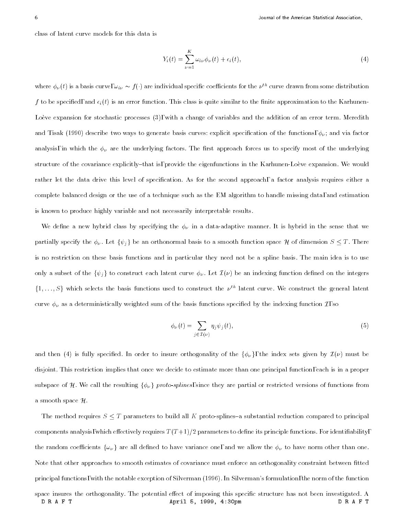class of latent curve models for this data is

$$
Y_i(t) = \sum_{\nu=1}^K \omega_{i\nu} \phi_{\nu}(t) + \epsilon_i(t), \qquad (4)
$$

where  $\phi_{\nu}(t)$  is a basis curve,  $\omega_{i\nu} \sim f(\cdot)$  are individual specific coefficients for the  $\nu^{th}$  curve drawn from some distribution f to be specified, and  $\epsilon_i(t)$  is an error function. This class is quite similar to the finite approximation to the Karhunen-Loève expansion for stochastic processes (3), with a change of variables and the addition of an error term. Meredith and Tisak (1990) describe two ways to generate basis curves: explicit specification of the functions,  $\phi_{\nu}$ ; and via factor analysis, in which the  $\phi_\nu$  are the underlying factors. The first approach forces us to specify most of the underlying structure of the covariance explicitly-that is, provide the eigenfunctions in the Karhunen-Loève expansion. We would rather let the data drive this level of specification. As for the second approach, a factor analysis requires either a complete balanced design or the use of a technique such as the EM algorithm to handle missing data, and estimation is known to produce highly variable and not necessarily interpretable results.

We define a new hybrid class by specifying the  $\phi_{\nu}$  in a data-adaptive manner. It is hybrid in the sense that we partially specify the  $\phi_{\nu}$ . Let  $\{\psi_j\}$  be an orthonormal basis to a smooth function space H of dimension  $S \leq T$ . There is no restriction on these basis functions and in particular they need not be a spline basis. The main idea is to use only a subset of the  $\{\psi_j\}$  to construct each latent curve  $\phi_{\nu}$ . Let  $\mathcal{I}(\nu)$  be an indexing function defined on the integers  $\{1,\ldots,S\}$  which selects the basis functions used to construct the  $\nu^{th}$  latent curve. We construct the general latent curve  $\phi_{\nu}$  as a deterministically weighted sum of the basis functions specified by the indexing function  $\mathcal{I}$ , so

$$
\phi_{\nu}(t) = \sum_{j \in \mathcal{I}(\nu)} \eta_j \psi_j(t), \tag{5}
$$

and then (4) is fully specified. In order to insure orthogonality of the  $\{\phi_\nu\}$ , the index sets given by  $\mathcal{I}(\nu)$  must be disjoint. This restriction implies that once we decide to estimate more than one principal function, each is in a proper subspace of H. We call the resulting  $\{\phi_\nu\}$  proto-splines, since they are partial or restricted versions of functions from a smooth space  $\mathcal{H}$ .

The method requires  $S \leq T$  parameters to build all K proto-splines-a substantial reduction compared to principal components analysis, which effectively requires  $T(T+1)/2$  parameters to define its principle functions. For identifiability, the random coefficients  $\{\omega_\nu\}$  are all defined to have variance one, and we allow the  $\phi_\nu$  to have norm other than one. Note that other approaches to smooth estimates of covariance must enforce an orthogonality constraint between fitted principal functions, with the notable exception of Silverman (1996). In Silverman's formulation, the norm of the function space insures the orthogonality. The potential effect of imposing this specific structure has not been investigated. A DRAFT April 5, 1999, 4:30pm DRAFT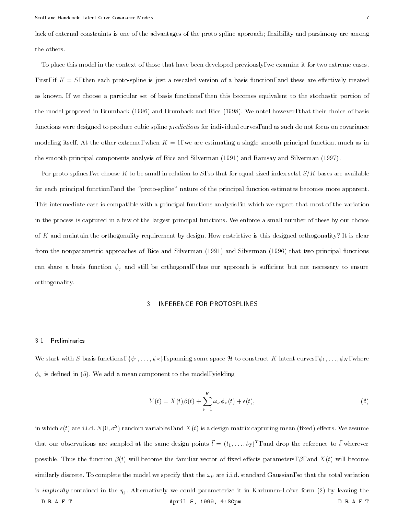lack of external constraints is one of the advantages of the proto-spline approach; flexibility and parsimony are among the others.

To place this model in the context of those that have been developed previously, we examine it for two extreme cases. First, if  $K=S$ , then each proto-spline is just a rescaled version of a basis function, and these are effectively treated as known. If we choose a particular set of basis functions, then this becomes equivalent to the stochastic portion of the model proposed in Brumback (1996) and Brumback and Rice (1998). We note, however, that their choice of basis functions were designed to produce cubic spline *predictions* for individual curves, and as such do not focus on covariance modeling itself. At the other extreme, when  $K = 1$ , we are estimating a single smooth principal function. much as in the smooth principal components analysis of Rice and Silverman (1991) and Ramsay and Silverman (1997).

For proto-splines, we choose K to be small in relation to S, so that for equal-sized index sets,  $S/K$  bases are available for each principal function, and the "proto-spline" nature of the principal function estimates becomes more apparent. This intermediate case is compatible with a principal functions analysis, in which we expect that most of the variation in the process is captured in a few of the largest principal functions. We enforce a small number of these by our choice of K and maintain the orthogonality requirement by design. How restrictive is this designed orthogonality? It is clear from the nonparametric approaches of Rice and Silverman (1991) and Silverman (1996) that two principal functions can share a basis function  $\psi_j$  and still be orthogonal, thus our approach is sufficient but not necessary to ensure orthogonality.

#### INFERENCE FOR PROTOSPLINES 3.

#### 3.1 Preliminaries

We start with S basis functions,  $\{\psi_1, \ldots, \psi_S\}$ , spanning some space H to construct K latent curves,  $\phi_1, \ldots, \phi_K$ , where  $\phi_{\nu}$  is defined in (5). We add a mean component to the model, yielding

$$
Y(t) = X(t)\beta(t) + \sum_{\nu=1}^{K} \omega_{\nu} \phi_{\nu}(t) + \epsilon(t), \qquad (6)
$$

in which  $\epsilon(t)$  are i.i.d. by (0,  $\sigma$  ) random variables, and  $X(t)$  is a design matrix capturing mean (fixed) effects. We assume that our observations are sampled at the same design points  $t = (t_1, \ldots, t_T)^\tau$  , and drop the reference to  $t$  wherever possible. Thus the function  $\beta(t)$  will become the familiar vector of fixed effects parameters,  $\beta$ , and  $X(t)$  will become similarly discrete. To complete the model we specify that the  $\omega_{\nu}$  are i.i.d. standard Gaussian, so that the total variation is *implicitly* contained in the  $\eta_j$ . Alternatively we could parameterize it in Karhunen-Loève form (2) by leaving the DRAFT April 5, 1999, 4:30pm DRAFT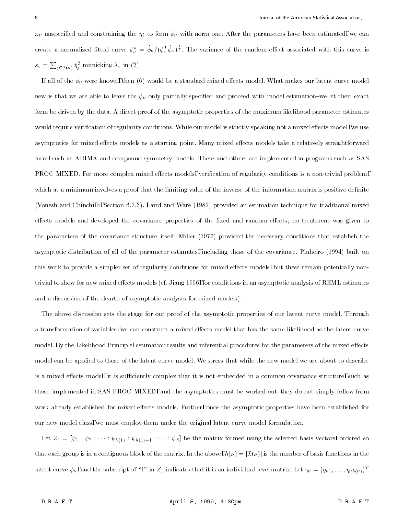$\omega_\nu$  unspecified and constraining the  $\eta_j$  to form  $\phi_\nu$  with norm one. After the parameters have been estimated, we can create a normalized fitted curve  $\phi^*_\nu = \phi_\nu/(\phi^I_\nu \phi_\nu)^{\frac{1}{2}}$ . The variance of the random effect associated with this curve is  $s_{\nu} = \sum_{i \in I(\nu)} \hat{\eta}_i^2$  mimicking  $\lambda_{\nu}$  in (2).

If all of the  $\phi_{\nu}$  were known, then (6) would be a standard mixed effects model. What makes our latent curve model new is that we are able to leave the  $\phi_{\nu}$  only partially specified and proceed with model estimation-we let their exact form be driven by the data. A direct proof of the asymptotic properties of the maximum likelihood parameter estimates would require verification of regularity conditions. While our model is strictly speaking not a mixed effects model, we use asymptotics for mixed effects models as a starting point. Many mixed effects models take a relatively straightforward form, such as ARIMA and compound symmetry models. These and others are implemented in programs such as SAS PROC MIXED. For more complex mixed effects models, verification of regularity conditions is a non-trivial problem, which at a minimum involves a proof that the limiting value of the inverse of the information matrix is positive definite (Vonesh and Chinchilli, Section 6.2.3). Laird and Ware (1982) provided an estimation technique for traditional mixed effects models and developed the covariance properties of the fixed and random effects; no treatment was given to the parameters of the covariance structure itself. Miller (1977) provided the necessary conditions that establish the asymptotic distribution of all of the parameter estimates, including those of the covariance. Pinheiro (1994) built on this work to provide a simpler set of regularity conditions for mixed effects models, but these remain potentially nontrivial to show for new mixed effects models (cf. Jiang 1996, for conditions in an asymptotic analysis of REML estimates and a discussion of the dearth of asymptotic analyses for mixed models).

The above discussion sets the stage for our proof of the asymptotic properties of our latent curve model. Through a transformation of variables, we can construct a mixed effects model that has the same likelihood as the latent curve model. By the Likelihood Principle, estimation results and inferential procedures for the parameters of the mixed effects model can be applied to those of the latent curve model. We stress that while the new model we are about to describe is a mixed effects model, it is sufficiently complex that it is not embedded in a common covariance structure, such as those implemented in SAS PROC MIXED, and the asymptotics must be worked out-they do not simply follow from work already established for mixed effects models. Further, once the asymptotic properties have been established for our new model class, we must employ them under the original latent curve model formulation.

Let  $Z_1 = [\psi_1 : \psi_2 : \cdots : \psi_{h(1)} : \psi_{h(1)+1} : \cdots : \psi_S]$  be the matrix formed using the selected basis vectors, ordered so that each group is in a contiguous block of the matrix. In the above,  $h(\nu) = |\mathcal{I}(\nu)|$  is the number of basis functions in the latent curve  $\phi_{\nu}$ , and the subscript of "1" in  $Z_1$  indicates that it is an individual-level matrix. Let  $\gamma_{\nu} = (\eta_{\nu 1}, \ldots, \eta_{\nu h(\nu)})^T$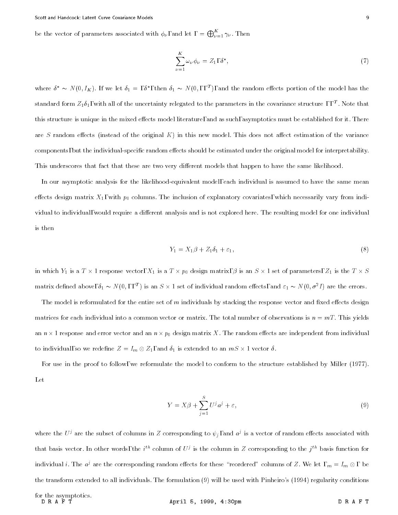be the vector of parameters associated with  $\phi_{\nu}$ , and let  $= \bigoplus_{\nu=1}^{n} \gamma_{\nu}$ . Then

$$
\sum_{\nu=1}^{K} \omega_{\nu} \phi_{\nu} = Z_1, \delta^*, \qquad (7)
$$

where  $\delta \sim N(0, I_K)$ . It we let  $\delta_1 \equiv$  ,  $\delta$  , then  $\delta_1 \sim N(0,$  , ,  $^+)$ , and the random effects portion of the model has the standard form  $\rm z_{1}o_{1},$  with all of the uncertainty relegated to the parameters in the covariance structure  $\rm \ ,\ ,\,^{-}$  . Note that this structure is unique in the mixed effects model literature, and as such, asymptotics must be established for it. There are S random effects (instead of the original K) in this new model. This does not affect estimation of the variance components, but the individual-specific random effects should be estimated under the original model for interpretability. This underscores that fact that these are two very different models that happen to have the same likelihood.

In our asymptotic analysis for the likelihood-equivalent model, each individual is assumed to have the same mean effects design matrix  $X_1$ , with  $p_0$  columns. The inclusion of explanatory covariates, which necessarily vary from individual to individual, would require a different analysis and is not explored here. The resulting model for one individual is then

$$
Y_1 = X_1 \beta + Z_1 \delta_1 + \varepsilon_1,\tag{8}
$$

is a trace of the state contracted the state of the matrix, we have the state of parameters, with the T - the T matrix defined above,  $\sigma_1 \thicksim$  /v [U, , , ] is an S  $\times$  1 set of individual random effects, and  $\varepsilon_1 \thicksim$  /v [U,  $\sigma$  ]  $\,$  are the errors.

The model is reformulated for the entire set of m individuals by stacking the response vector and fixed effects design matrices for each individual into a common vector or matrix. The total number of observations is  $n = mT$ . This yields an n - 1 response and error vector and an <sup>n</sup> - p0 design matrix X. The random eects are independent from individual to individual, so we redefine  $\mathcal{L} = \{1, 2, \ldots, n\}$  . The second to an individual to an individual to an

For use in the proof to follow, we reformulate the model to conform to the structure established by Miller (1977). Let

$$
Y = X\beta + \sum_{j=1}^{S} U^j a^j + \varepsilon,\tag{9}
$$

where the  $U^{\ast}$  are the subset of columns in  $Z$  corresponding to  $\psi_j,$  and  $a^{\ast}$  is a vector of random effects associated with that basis vector. In other words, the  $i^\mu$  column of  $U^s$  is the column in  $Z$  corresponding to the  $j^\mu$  basis function for individual  $i$ . The  $a^j$  are the corresponding random effects for these -reordered -columns of Z. We let  $\Box_m \equiv I_m \otimes$  , be the transform extended to all individuals. The formulation (9) will be used with Pinheiro's (1994) regularity conditions

April 5, 1999, 4:30pm DRAFT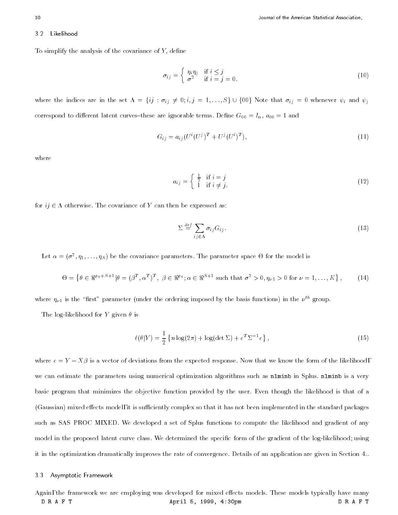#### 3.2 Likelihood 3.2

To simplify the analysis of the covariance of  $Y$ , define

$$
\sigma_{ij} = \begin{cases} \eta_i \eta_j & \text{if } i \leq j \\ \sigma^2 & \text{if } i = j = 0. \end{cases}
$$
 (10)

where the indices are in the set  $\Lambda = \{ij : \sigma_{ij} \neq 0; i,j = 1, ..., S\} \cup \{00\}$  Note that  $\sigma_{ij} = 0$  whenever  $\psi_i$  and  $\psi_j$ correspond to different latent curves-these are ignorable terms. Define  $G_{00} = I_n$ ,  $a_{00} = 1$  and

$$
G_{ij} = a_{ij} (U^{i} (U^{j})^{T} + U^{j} (U^{i})^{T}), \qquad (11)
$$

where

$$
a_{ij} = \begin{cases} \frac{1}{2} & \text{if } i = j \\ 1 & \text{if } i \neq j. \end{cases}
$$
 (12)

for ij 2 otherwise. The covariance of <sup>Y</sup> can then be expressed as:

$$
\Sigma \stackrel{\text{def}}{=} \sum_{ij \in \Lambda} \sigma_{ij} G_{ij} \,. \tag{13}
$$

Let  $\alpha = (\sigma^-, \eta_1, \ldots, \eta_S)$  be the covariance parameters. The parameter space  $\Theta$  for the model is

$$
\Theta = \left\{ \theta \in \mathbb{R}^{p_0 + S + 1} | \theta = (\beta^T, \alpha^T)^T, \ \beta \in \mathbb{R}^{p_0}; \alpha \in \mathbb{R}^{S + 1} \text{ such that } \sigma^2 > 0, \eta_{\nu 1} > 0 \text{ for } \nu = 1, \dots, K \right\},\tag{14}
$$

where  $\eta_{\nu 1}$  is the "first" parameter (under the ordering imposed by the basis functions) in the  $\nu^{th}$  group.

The log-likelihood for Y given  $\theta$  is

$$
\ell(\theta|Y) = \frac{1}{2} \left\{ n \log(2\pi) + \log(\det \Sigma) + e^T \Sigma^{-1} e \right\},\tag{15}
$$

where e = Y is a vector of deviations from the expected response. Now that we know the form of the form of the we can estimate the parameters using numerical optimization algorithms such as nlminb in Splus. nlminb is a very basic program that minimizes the objective function provided by the user. Even though the likelihood is that of a (Gaussian) mixed effects model, it is sufficiently complex so that it has not been implemented in the standard packages such as SAS PROC MIXED. We developed a set of Splus functions to compute the likelihood and gradient of any model in the proposed latent curve class. We determined the specific form of the gradient of the log-likelihood; using it in the optimization dramatically improves the rate of convergence. Details of an application are given in Section 4..

#### 3.3 Asymptotic Framework

Again, the framework we are employing was developed for mixed effects models. These models typically have many DRAFT April 5, 1999, 4:30pm DRAFT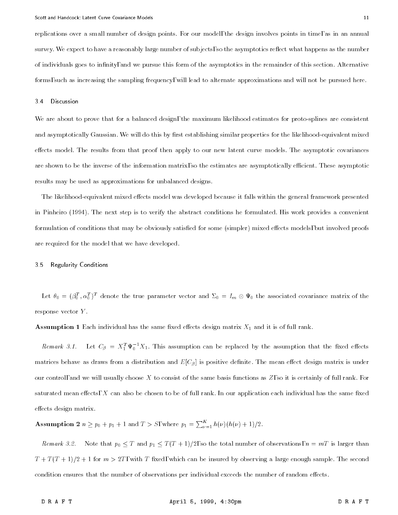replications over a small number of design points. For our model, the design involves points in time, as in an annual survey. We expect to have a reasonably large number of subjects, so the asymptotics reflect what happens as the number of individuals goes to infinity, and we pursue this form of the asymptotics in the remainder of this section. Alternative forms, such as increasing the sampling frequency, will lead to alternate approximations and will not be pursued here.

#### 3.4 Discussion

We are about to prove that for a balanced design, the maximum likelihood estimates for proto-splines are consistent and asymptotically Gaussian. We will do this by first establishing similar properties for the likelihood-equivalent mixed effects model. The results from that proof then apply to our new latent curve models. The asymptotic covariances are shown to be the inverse of the information matrix, so the estimates are asymptotically efficient. These asymptotic results may be used as approximations for unbalanced designs.

The likelihood-equivalent mixed effects model was developed because it falls within the general framework presented in Pinheiro (1994). The next step is to verify the abstract conditions he formulated. His work provides a convenient formulation of conditions that may be obviously satisfied for some (simpler) mixed effects models, but involved proofs are required for the model that we have developed.

#### 3.5 Regularity Conditions

Let  $\theta_0=(\beta_0^-, \alpha_0^-)^\top$  denote the true parameter vector and  $\Sigma_0=I_m\otimes\Psi_0$  the associated covariance matrix of the response vector Y .

Assumption 1 Each individual has the same fixed effects design matrix  $X_1$  and it is of full rank.

*Remark 3.1.* Let  $C_\beta = X_1^* \Psi_0^* X_1$ . This assumption can be replaced by the assumption that the fixed effects matrices behave as draws from a distribution and  $E[C_\beta]$  is positive definite. The mean effect design matrix is under our control, and we will usually choose X to consist of the same basis functions as  $Z$ , so it is certainly of full rank. For saturated mean effects,  $X$  can also be chosen to be of full rank. In our application each individual has the same fixed effects design matrix.

**Assumption 2**  $n \geq p_0 + p_1 + 1$  and  $T > S$ , where  $p_1 = \sum_{\nu=1}^{\mathbf{n}} h(\nu)(h(\nu) + 1)/2$ .

The mark 3.2. Those that  $p_0 \leq T$  and  $p_1 \leq T(T + 1)/2$ , so the total number of observations,  $n = mt$  is larger than  $T + T(T + 1)/2 + 1$  for  $m > 2T$ , with T fixed, which can be insured by observing a large enough sample. The second condition ensures that the number of observations per individual exceeds the number of random effects.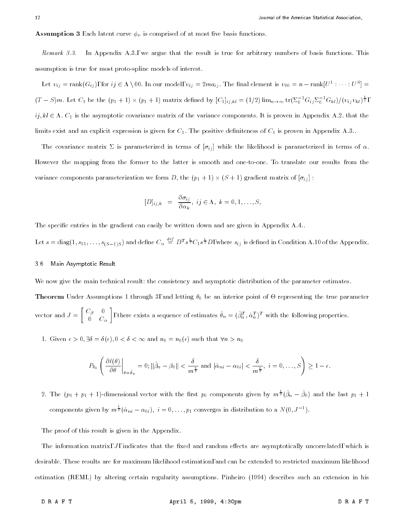**Assumption 3** Each latent curve  $\phi_{\nu}$  is comprised of at most five basis functions.

Remark 3.3. In Appendix A.3., we argue that the result is true for arbitrary numbers of basis functions. This assumption is true for most proto-spline models of interest.

Let  $v_{ij}$   $=$  rank  $(v_{ij})$ , for  $ij \in \Lambda \setminus 00$ . In our model,  $v_{ij} = zma_{ij}$ . The final element is  $v_{00} = n - \text{rank}[U^{\perp} : \cdots : U^{\perp}]$  $(T-S)m$ . Let  $C_1$  be the  $(p_1+1) \times (p_1+1)$  matrix defined by  $[C_1]_{ij,kl} = (1/2) \lim_{n\to\infty} tr(\Sigma_0^{-1} G_{ij} \Sigma_0^{-1} G_{kl})/(v_{ij} v_{kl})^{\frac{1}{2}},$  $i,j,kl \in \Lambda$ .  $C_1$  is the asymptotic covariance matrix of the variance components. It is proven in Appendix A.2. that the limits exist and an explicit expression is given for  $C_1$ . The positive definiteness of  $C_1$  is proven in Appendix A.3..

The covariance matrix  $\Sigma$  is parameterized in terms of  $[\sigma_{ij}]$  while the likelihood is parameterized in terms of  $\alpha$ . However the mapping from the former to the latter is smooth and one-to-one. To translate our results from the  $\mathbf{v}$  is a region of  $\mathbf{v}$  and  $\mathbf{v}$  is a region  $\mathbf{v}$  is a region of  $\mathbf{v}$  in  $\mathbf{v}$  is a region of  $\mathbf{v}$  is a region of  $\mathbf{v}$  is a region of  $\mathbf{v}$  is a region of  $\mathbf{v}$  is a region of  $\mathbf{v}$ 

$$
[D]_{ij,k} = \frac{\partial \sigma_{ij}}{\partial \alpha_k}, \; ij \in \Lambda, \; k = 0, 1, \ldots, S,
$$

The specific entries in the gradient can easily be written down and are given in Appendix A.4..

Let  $s = diag(1, s_{11}, \ldots, s_{(S-1)S})$  and define  $C_\alpha \equiv D^T s^{\frac{1}{2}} C_1 s^{\frac{1}{2}} D$ , where  $s_{ij}$  is defined in Condition A.10 of the Appendix.

#### 3.6 Main Asymptotic Result

We now give the main technical result: the consistency and asymptotic distribution of the parameter estimates.

Theorem Under Assumptions 1 through 3, and letting 0 be an interior point of - representing the true parameter vector and J = 1. In the J = 1. In the J = 1. In the J = 1. In the J = 1. In the J = 1. In the J = 1. In the J  $\begin{bmatrix} C_{\beta} & 0 \end{bmatrix}$  $\sim$  c c  $\sim$ and the contract of the contract of the contract of the contract of the contract of the contract of the contract of , there exists a sequence of estimates  $\sigma_n = (\bar{\rho}_n^+, \alpha_n^-)$  with the following properties.

1. Given  $\epsilon > 0$ ,  $\exists \delta = \delta(\epsilon)$ ,  $0 < \delta < \infty$  and  $n_0 = n_0(\epsilon)$  such that  $\forall n > n_0$ 

$$
P_{\theta_0}\left(\left.\frac{\partial\ell(\theta)}{\partial\theta}\right|_{\theta=\hat{\theta}_n}=0;\|\hat{\beta}_n-\beta_0\|<\frac{\delta}{m^{\frac{1}{2}}}\text{ and }|\hat{\alpha}_{ni}-\alpha_{0i}|<\frac{\delta}{m^{\frac{1}{2}}},\ i=0,\ldots,S\right)\geq 1-\epsilon.
$$

2. The  $(p_0 + p_1 + 1)$ -dimensional vector with the first  $p_0$  components given by  $m^{\frac{1}{2}}(\beta_n - \beta_0)$  and the last  $p_1 + 1$ components given by  $m^{\frac{1}{2}}(\hat{\alpha}_{ni} - \alpha_{0i}), i = 0, \ldots, p_1$  converges in distribution to a  $N(0, J^{-1})$ .

The proof of this result is given in the Appendix.

The information matrix,  $J$ , indicates that the fixed and random effects are asymptotically uncorrelated, which is desirable. These results are for maximum likelihood estimation, and can be extended to restricted maximum likelihood estimation (REML) by altering certain regularity assumptions. Pinheiro (1994) describes such an extension in his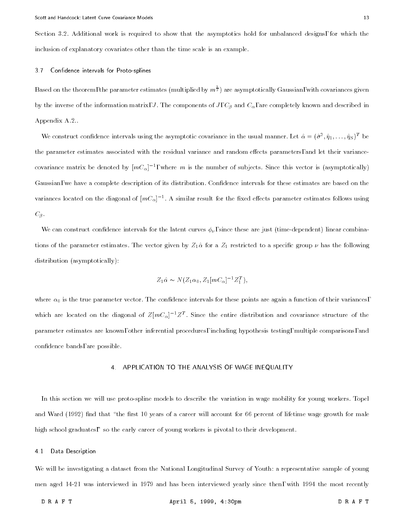Section 3.2. Additional work is required to show that the asymptotics hold for unbalanced designs, for which the inclusion of explanatory covariates other than the time scale is an example.

#### 3.7 Confidence intervals for Proto-splines

Based on the theorem, the parameter estimates (multiplied by  $m^{\frac{1}{2}}$ ) are asymptotically Gaussian, with covariances given by the inverse of the information matrix, J. The components of J,  $C_\beta$  and  $C_\alpha$ , are completely known and described in Appendix A.2..

We construct confidence intervals using the asymptotic covariance in the usual manner. Let  $\alpha = (\sigma^-, \eta_1, \ldots, \eta_S)^+$  be the parameter estimates associated with the residual variance and random effects parameters, and let their variancecovariance matrix be denoted by  $|m\bar{C}_\alpha|^{-1}$ , where  $m$  is the number of subjects. Since this vector is (asymptotically) Gaussian, we have a complete description of its distribution. Confidence intervals for these estimates are based on the variances located on the diagonal of  $|mC_\alpha|^{-1}$ . A similar result for the fixed effects parameter estimates follows using  $C_{\beta}$ .

We can construct confidence intervals for the latent curves  $\phi_{\nu}$ , since these are just (time-dependent) linear combinations of the parameter estimates. The vector given by  $Z_1\hat{\alpha}$  for a  $Z_1$  restricted to a specific group  $\nu$  has the following distribution (asymptotically):

$$
Z_1 \hat{\alpha} \sim N(Z_1 \alpha_0, Z_1[mC_\alpha]^{-1} Z_1^T),
$$

where  $\alpha_0$  is the true parameter vector. The confidence intervals for these points are again a function of their variances, which are located on the diagonal of  $Z[mC_\alpha]^{-1}Z^{\pm}$ . Since the entire distribution and covariance structure of the parameter estimates are known, other inferential procedures, including hypothesis testing, multiple comparisons, and condence bands, are possible.

#### 4. APPLICATION TO THE ANALYSIS OF WAGE INEQUALITY

In this section we will use proto-spline models to describe the variation in wage mobility for young workers. Topel and Ward (1992) find that "the first 10 years of a career will account for 66 percent of lifetime wage growth for male high school graduates," so the early career of young workers is pivotal to their development.

#### 4.1 Data Description

We will be investigating a dataset from the National Longitudinal Survey of Youth: a representative sample of young men aged 14-21 was interviewed in 1979 and has been interviewed yearly since then, with 1994 the most recently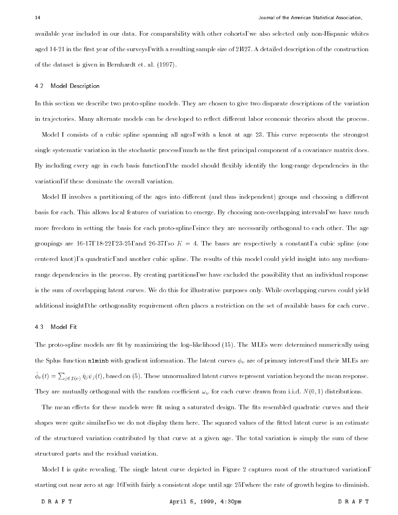available year included in our data. For comparability with other cohorts, we also selected only non-Hispanic whites aged  $14-21$  in the first year of the surveys, with a resulting sample size of  $2,427$ . A detailed description of the construction of the dataset is given in Bernhardt et. al. (1997).

#### 4.2 Model Description

In this section we describe two proto-spline models. They are chosen to give two disparate descriptions of the variation in trajectories. Many alternate models can be developed to reflect different labor economic theories about the process.

Model I consists of a cubic spline spanning all ages, with a knot at age 23. This curve represents the strongest single systematic variation in the stochastic process, much as the first principal component of a covariance matrix does. By including every age in each basis function, the model should flexibly identify the long-range dependencies in the variation, if these dominate the overall variation.

Model II involves a partitioning of the ages into different (and thus independent) groups and choosing a different basis for each. This allows local features of variation to emerge. By choosing non-overlapping intervals, we have much more freedom in setting the basis for each proto-spline, since they are necessarily orthogonal to each other. The age groupings are 16-17, 18-22, 23-25, and 26-37, so  $K = 4$ . The bases are respectively a constant, a cubic spline (one centered knot), a quadratic, and another cubic spline. The results of this model could yield insight into any mediumrange dependencies in the process. By creating partitions, we have excluded the possibility that an individual response is the sum of overlapping latent curves. We do this for illustrative purposes only. While overlapping curves could yield additional insight, the orthogonality requirement often places a restriction on the set of available bases for each curve.

#### 4.3 Model Fit

The proto-spline models are fit by maximizing the log-likelihood (15). The MLEs were determined numerically using the Splus function nlminb with gradient information. The latent curves  $\phi_{\nu}$  are of primary interest, and their MLEs are  $\phi_{\nu}(t) = \sum_{i \in I(\nu)} \hat{\eta}_j \psi_j(t)$ , based on (5). These unnormalized latent curves represent variation beyond the mean response. They are mutually orthogonal with the random coefficient  $\omega_{\nu}$  for each curve drawn from i.i.d.  $N(0, 1)$  distributions.

The mean effects for these models were fit using a saturated design. The fits resembled quadratic curves and their shapes were quite similar, so we do not display them here. The squared values of the fitted latent curve is an estimate of the structured variation contributed by that curve at a given age. The total variation is simply the sum of these structured parts and the residual variation.

Model I is quite revealing. The single latent curve depicted in Figure 2 captures most of the structured variation, starting out near zero at age 16, with fairly a consistent slope until age 25, where the rate of growth begins to diminish.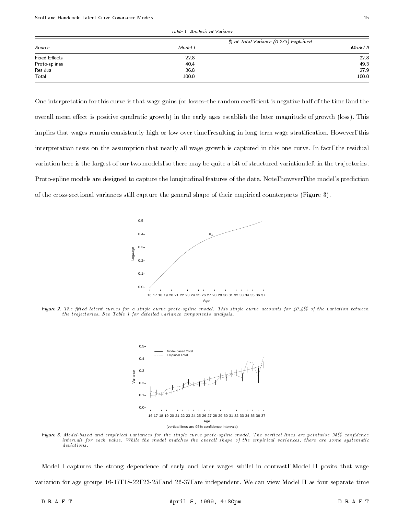| Source               | % of Total Variance (0.273) Explained |          |
|----------------------|---------------------------------------|----------|
|                      | Model I                               | Model II |
| <b>Fixed Effects</b> | 22.8                                  | 22.8     |
| Proto-splines        | 40.4                                  | 49.3     |
| Residual             | 36.8                                  | 27.9     |
| Total                | 100.0                                 | 100.0    |

Table 1. Analysis of Variance

One interpretation for this curve is that wage gains (or losses-the random coefficient is negative half of the time, and the overall mean effect is positive quadratic growth) in the early ages establish the later magnitude of growth (loss). This implies that wages remain consistently high or low over time, resulting in long-term wage stratification. However, this interpretation rests on the assumption that nearly all wage growth is captured in this one curve. In fact, the residual variation here is the largest of our two models, so there may be quite a bit of structured variation left in the trajectories. Proto-spline models are designed to capture the longitudinal features of the data. Note, however, the model's prediction of the cross-sectional variances still capture the general shape of their empirical counterparts (Figure 3).



Figure 2. The fitted latent curves for a single curve proto-spline model. This single curve accounts for 40.4% of the variation between the trajectories. See Table 1 for detailed variance components analysis.



Figure 3. Model-based and empirical variances for the single curve proto-spline model. The vertical lines are pointwise 95% confidence intervals for each value. While the model matches the overal l shape of the empirical variances, there are some systematic deviations.

Model I captures the strong dependence of early and later wages while, in contrast, Model II posits that wage variation for age groups 16-17, 18-22, 23-25, and 26-37, are independent. We can view Model II as four separate time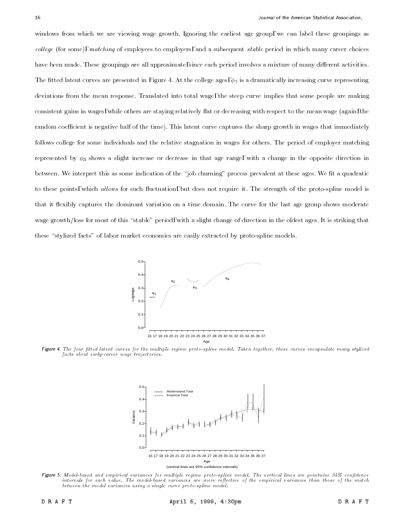windows from which we are viewing wage growth. Ignoring the earliest age group, we can label these groupings as col lege (for some), matching of employees to employers, and a subsequent stable period in which many career choices have been made. These groupings are all approximate, since each period involves a mixture of many different activities. The fitted latent curves are presented in Figure 4. At the college ages,  $\phi_2$  is a dramatically increasing curve representing deviations from the mean response. Translated into total wage, the steep curve implies that some people are making consistent gains in wages, while others are staying relatively flat or decreasing with respect to the mean wage (again, the random coefficient is negative half of the time). This latent curve captures the sharp growth in wages that immediately follows college for some individuals and the relative stagnation in wages for others. The period of employer matching represented by  $\phi_3$  shows a slight increase or decrease in that age range, with a change in the opposite direction in between. We interpret this as some indication of the "job churning" process prevalent at these ages. We fit a quadratic to these points, which allows for such fluctuation, but does not require it. The strength of the proto-spline model is that it flexibly captures the dominant variation on a time domain. The curve for the last age group shows moderate wage growth/loss for most of this "stable" period, with a slight change of direction in the oldest ages. It is striking that these "stylized facts" of labor market economics are easily extracted by proto-spline models.



Figure 4. The four fitted latent curves for the multiple regime proto-spline model. Taken together, these curves encapsulate many stylized facts about early-career wage trajectories.



(vertical lines are 95% confidence intervals)

Figure 5. Model-based and empirical variances for multiple regime proto-spline model. The vertical lines are pointwise 95% confidence intervals for each value. The model-based variances are more reflective of the empirical variances than those of the match between the model variances using a single curve proto-spline model.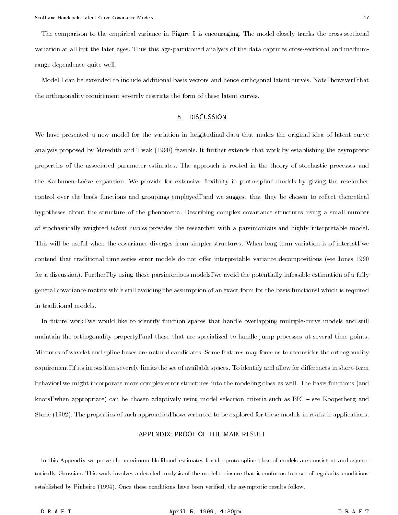The comparison to the empirical variance in Figure 5 is encouraging. The model closely tracks the cross-sectional variation at all but the later ages. Thus this age-partitioned analysis of the data captures cross-sectional and mediumrange dependence quite well.

Model I can be extended to include additional basis vectors and hence orthogonal latent curves. Note, however, that the orthogonality requirement severely restricts the form of these latent curves.

#### 5. DISCUSSION

We have presented a new model for the variation in longitudinal data that makes the original idea of latent curve analysis proposed by Meredith and Tisak (1990) feasible. It further extends that work by establishing the asymptotic properties of the associated parameter estimates. The approach is rooted in the theory of stochastic processes and the Karhunen-Loève expansion. We provide for extensive flexibilty in proto-spline models by giving the researcher control over the basis functions and groupings employed, and we suggest that they be chosen to reflect theoretical hypotheses about the structure of the phenomena. Describing complex covariance structures using a small number of stochastically weighted latent curves provides the researcher with a parsimonious and highly interpretable model. This will be useful when the covariance diverges from simpler structures. When long-term variation is of interest, we contend that traditional time series error models do not offer interpretable variance decompositions (see Jones 1990 for a discussion). Further, by using these parsimonious models, we avoid the potentially infeasible estimation of a fully general covariance matrix while still avoiding the assumption of an exact form for the basis functions, which is required in traditional models.

In future work, we would like to identify function spaces that handle overlapping multiple-curve models and still maintain the orthogonality property, and those that are specialized to handle jump processes at several time points. Mixtures of wavelet and spline bases are natural candidates. Some features may force us to reconsider the orthogonality requirement, if its imposition severely limits the set of available spaces. To identify and allow for differences in short-term behavior, we might incorporate more complex error structures into the modeling class as well. The basis functions (and knots, when appropriate) can be chosen adaptively using model selection criteria such as  $BIC$  - see Kooperberg and Stone (1992). The properties of such approaches, however, need to be explored for these models in realistic applications.

#### APPENDIX: PROOF OF THE MAIN RESULT

In this Appendix we prove the maximum likelihood estimates for the proto-spline class of models are consistent and asymptotically Gaussian. This work involves a detailed analysis of the model to insure that it conforms to a set of regularity conditions established by Pinheiro (1994). Once these conditions have been veried, the asymptotic results follow.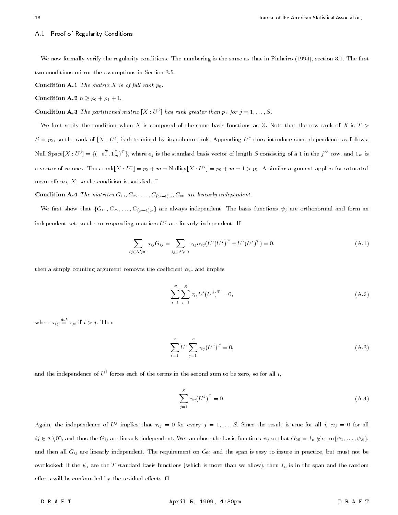#### A.1 Proof of Regularity Conditions

We now formally verify the regularity conditions. The numbering is the same as that in Pinheiro (1994), section 3.1. The first two conditions mirror the assumptions in Section 3.5.

**Condition A.1** The matrix X is of full rank  $p_0$ .

Condition A.2  $n \geq p_0 + p_1 + 1$ .

**Condition A.3** The partitioned matrix  $|X:U^{\circ}|$  has rank greater than  $p_0$  for  $j = 1, \ldots, S$ .

We first verify the condition when X is composed of the same basis functions as Z. Note that the row rank of X is  $T >$  $S = p_0$ , so the rank of  $|X:U^{\prime}|$  is determined by its column rank. Appending  $U^{\prime}$  does introduce some dependence as follows: Null Space[ $A:U'=\{\{-e_i^-,1_m^-\} \}$  , where  $e_i$  is the standard basis vector of length S consisting of a 1 in the  $j$  " row, and  $1_m$  is a vector of  $m$  ones. Thus rank[X : U  $\rq{}=p_0+m-1$  Nullity[X : U  $\rq{}=p_0+m-1>p_0$ . A similar argument applies for saturated mean effects, X, so the condition is satisfied.  $\Box$ 

**Condition A.4** The matrices  $G_{11}, G_{22}, \ldots, G_{(S-1)S}, G_{00}$  are linearly independent.

We first show that  $\{G_{11}, G_{22}, \ldots, G_{(S-1)S}\}$  are always independent. The basis functions  $\psi_j$  are orthonormal and form an independent set, so the corresponding matrices  $U^j$  are linearly independent. If

$$
\sum_{ij \in \Lambda \setminus 00} \tau_{ij} G_{ij} = \sum_{ij \in \Lambda \setminus 00} \tau_{ij} \alpha_{ij} (U^i (U^j)^T + U^j (U^i)^T) = 0,
$$
\n(A.1)

then a simply counting argument removes the coefficient  $\alpha_{ij}$  and implies

$$
\sum_{i=1}^{S} \sum_{j=1}^{S} \tau_{ij} U^{i} (U^{j})^{T} = 0,
$$
\n(A.2)

where  $\tau_{ii} \equiv \tau_{ii}$  if  $i > j$ . Then

$$
\sum_{i=1}^{S} U^i \sum_{j=1}^{S} \tau_{ij} (U^j)^T = 0,
$$
\n(A.3)

and the independence of  $U^i$  forces each of the terms in the second sum to be zero, so for all i,

$$
\sum_{j=1}^{S} \tau_{ij} (U^j)^T = 0.
$$
\n(A.4)

Again, the independence of  $U$  implies that  $\tau_{ij} = 0$  for every  $\eta = 1,\ldots,S$ . Since the result is true for all  $i$ ,  $\tau_{ij} = 0$  for all ij <sup>2</sup> <sup>n</sup> 00, and thus the Gij are linearly independent. We can chose the basis functions j so that G00 <sup>=</sup> In <sup>62</sup> spanf 1;:::; Sg, and then all  $G_{ij}$  are linearly independent. The requirement on  $G_{00}$  and the span is easy to insure in practice, but must not be overlooked: if the  $\psi_j$  are the T standard basis functions (which is more than we allow), then  $I_n$  is in the span and the random effects will be confounded by the residual effects.  $\Box$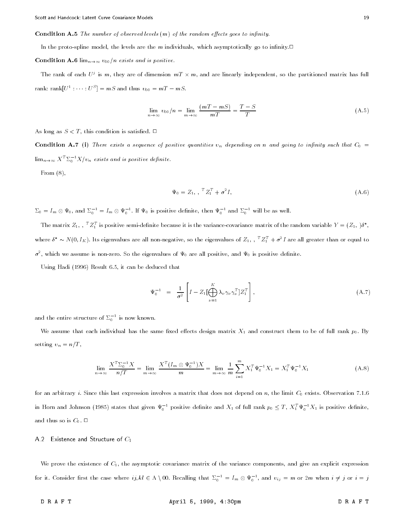#### **Condition A.5** The number of observed levels  $(m)$  of the random effects goes to infinity

In the proto-spline model, the levels are the m individuals, which asymptotically go to infinity.

Condition A.6  $\lim_{n\to\infty} v_{00}/n$  exists and is positive.

The rank of each  $U^s$  is m, they are of dimension  $mI \times m$ , and are linearly independent, so the partitioned matrix has full rank: rank $|U^+|$ :  $|U^-|$  = ms and thus  $v_{00}$  = m  $I - mS$ .

$$
\lim_{n \to \infty} v_{00}/n = \lim_{m \to \infty} \frac{(mT - mS)}{mT} = \frac{T - S}{T}
$$
\n(A.5)

As long as  $S < T$ , this condition is satisfied.  $\Box$ 

**Condition A.7** (i) There exists a sequence of positive quantities  $v_n$  depending on n and going to infinity such that  $C_0 =$  $\lim_{n\to\infty}$  X  $\supseteq$   $\sum_{0}^{n}$   $\Lambda/v_{n}$  exists and is positive definite.

From (8),

$$
\Psi_0 = Z_1, \, \, \frac{T Z_1^T + \sigma^2 I}{\sigma^2}, \tag{A.6}
$$

 $\Delta_0 = I_m \otimes \Psi_0$ , and  $\Delta_0 \equiv I_m \otimes \Psi_0 \pmod{1}$ . If  $\Psi_0$  is positive definite, then  $\Psi_0 \pmod{2_0}$  will be as well.

The matrix  $Z_1$ ,  $Z_1$  is positive semi-definite because it is the variance-covariance matrix of the random variable  $Y = (Z_1, 0, \cdot)$ where  $\delta~\sim$  N (0,  $I_{K}$ ). Its eigenvalues are all non-negative, so the eigenvalues of  $\it Z_{1},~.~\,$   $\it Z_{1}^{-}$  +  $\sigma^{-}$  I are all greater than or equal to  $\sigma$  , which we assume is non-zero. So the eigenvalues of  $\Psi_0$  are all positive, and  $\Psi_0$  is positive definite.

Using Hadi (1996) Result 6.5, it can be deduced that

$$
\Psi_0^{-1} = \frac{1}{\sigma^2} \left[ I - Z_1 \left[ \bigoplus_{\nu=1}^K \lambda_\nu \gamma_\nu \gamma_\nu^T \right] Z_1^T \right], \tag{A.7}
$$

and the entire structure of  $\Sigma_0^-$  is now known.

We assume that each individual has the same fixed effects design matrix  $X_1$  and construct them to be of full rank  $p_0$ . By setting  $v_n = n/T$ ,

$$
\lim_{n \to \infty} \frac{X^T \Sigma_0^{-1} X}{n/T} = \lim_{m \to \infty} \frac{X^T (I_m \otimes \Psi_0^{-1}) X}{m} = \lim_{m \to \infty} \frac{1}{m} \sum_{i=1}^m X_1^T \Psi_0^{-1} X_1 = X_1^T \Psi_0^{-1} X_1
$$
\n(A.8)

for an arbitrary i. Since this last expression involves a matrix that does not depend on n, the limit  $C_0$  exists. Observation 7.1.6 in Horn and Johnson (1985) states that given  $\Psi_0^-$  positive definite and  $X_1$  of full rank  $p_0 \leq I$  ,  $X_1^- \Psi_0^- X_1$  is positive definite, and thus so is  $C_0$ .  $\Box$ 

A.2 Existence and Structure of  $C_1$ 

We prove the existence of  $C_1$ , the asymptotic covariance matrix of the variance components, and give an explicit expression for it. Consider first the case where  $ij,$   $kl \in \Lambda \setminus 0$ . Recalling that  ${\vartriangle}_0^{-1}=I_m\otimes \Psi_0^{-1},$  and  $v_{ij}=m$  or  $2m$  when  $i\neq j$  or  $i=j$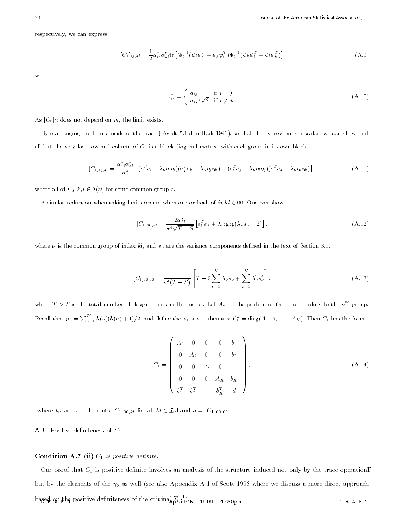respectively, we can express

$$
[C_1]_{ij,kl} = \frac{1}{2} \alpha_{ij}^* \alpha_{kl}^* \text{tr} \left[ \Psi_0^{-1} (\psi_i \psi_j^T + \psi_j \psi_i^T) \Psi_0^{-1} (\psi_k \psi_l^T + \psi_l \psi_k^T) \right]
$$
(A.9)

where

$$
\alpha_{ij}^* = \begin{cases} a_{ij} & \text{if } i = j \\ a_{ij}/\sqrt{2} & \text{if } i \neq j. \end{cases}
$$
\n(A.10)

As  $[C_1]_{ij}$  does not depend on m, the limit exists.

By rearranging the terms inside of the trace (Result 5.1.d in Hadi 1996), so that the expression is a scalar, we can show that all but the very last row and column of  $C_1$  is a block diagonal matrix, with each group in its own block:

$$
[C_1]_{ij,kl} = \frac{\alpha_{ij}^* \alpha_{kl}^*}{\sigma^4} \left[ (e_l^T e_i - \lambda_\nu \eta_l \eta_i)(e_j^T e_k - \lambda_\nu \eta_j \eta_k) + (e_l^T e_j - \lambda_\nu \eta_l \eta_j)(e_i^T e_k - \lambda_\nu \eta_i \eta_k) \right],
$$
\n(A.11)

where all of  $i, j, k, l \in \mathcal{I}(\nu)$  for some common group  $\nu$ .

A similar reduction when taking limits occurs when one or both of ij,  $kl \in 00$ . One can show:

$$
[C_1]_{00,kl} = \frac{2\alpha_{kl}^*}{\sigma^4 \sqrt{T-S}} \left[ e_l^T e_k + \lambda_\nu \eta_k \eta_l (\lambda_\nu s_\nu - 2) \right]. \tag{A.12}
$$

where  $\nu$  is the common group of index kl, and  $s_{\nu}$  are the variance components defined in the text of Section 3.1.

$$
[C_1]_{00,00} = \frac{1}{\sigma^4 (T - S)} \left[ T - 2 \sum_{\nu=1}^K \lambda_\nu s_\nu + \sum_{\nu=1}^K \lambda_\nu^2 s_\nu^2 \right],
$$
\n(A.13)

where  $I > S$  is the total number of design points in the model. Let  $A_{\nu}$  be the portion of  $C_1$  corresponding to the  $\nu^{\cdots}$  group. Recall that  $p_1 = \sum_{\nu=1}^{N} h(\nu)(h(\nu) + 1)/2$ , and define the  $p_1 \times p_1$  submatrix  $C_1^* = \text{diag}(A_1, A_2, \ldots, A_K)$ . Then  $C_1$  has the form

$$
C_1 = \begin{pmatrix} A_1 & 0 & 0 & 0 & b_1 \\ 0 & A_2 & 0 & 0 & b_2 \\ 0 & 0 & \ddots & 0 & \vdots \\ 0 & 0 & 0 & A_K & b_K \\ b_1^T & b_2^T & \cdots & b_K^T & d \end{pmatrix},
$$
(A.14)

where  $b_{\nu}$  are the elements  $[C_1]_{00,kl}$  for all  $kl \in \mathcal{I}_{\nu}$ , and  $d = [C_1]_{00,00}$ .

A.3 Positive definiteness of  $C_1$ 

### Condition A.7 (ii)  $C_1$  is positive definite.

Our proof that  $C_1$  is positive definite involves an analysis of the structure induced not only by the trace operation, but by the elements of the  $\gamma_{\nu}$  as well (see also Appendix A.1 of Scott 1998 where we discuss a more direct approach ba<del>n</del>eph  $\mathbf{p}$  are positive definiteness of the original  $\frac{1}{D}$  is, 1999, 4:30pm  $\mathbf{p}$  . Denotes  $\mathbf{p}$  ,  $\mathbf{p}$  ,  $\mathbf{p}$  ,  $\mathbf{p}$  ,  $\mathbf{p}$  ,  $\mathbf{p}$  ,  $\mathbf{p}$  ,  $\mathbf{p}$  ,  $\mathbf{p}$  ,  $\mathbf{p}$  ,  $\mathbf{$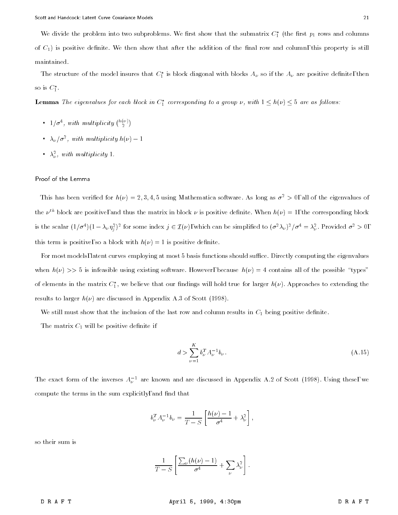We divide the problem into two subproblems. We first show that the submatrix  $C_1$  (the first  $p_1$  rows and columns of  $C_1$ ) is positive definite. We then show that after the addition of the final row and column, this property is still maintained.

The structure of the model insures that  $C_1$  is block diagonal with blocks  $A_\nu$  so if the  $A_\nu$  are positive definite, then so is  $\cup_1$  .

**Lemma** The eigenvalues for each block in  $C_1$  corresponding to a group  $\nu$ , with  $1\leq n(\nu)\leq$  3 are as follows:

- $1/\sigma^4$ , with multiplicity  $\binom{h(\nu)}{2}$
- $\sim$   $\Lambda_{\nu}/\sigma$  , with multiplicity  $n(\nu)$  1
- $\lambda_{\nu}$ , with multiplicity 1.

#### Proof of the Lemma

This has been verified for  $h(\nu) = 2, 3, 4, 5$  using Mathematica software. As long as  $\sigma^2 > 0$ , all of the eigenvalues of the  $\nu^{th}$  block are positive, and thus the matrix in block  $\nu$  is positive definite. When  $h(\nu) = 1$ , the corresponding block is the scalar  $(1/\sigma^2)(1-\lambda_\nu\eta_j^-)$  for some index  $j\in L(\nu)$ , which can be simplified to  $(\sigma^2\lambda_\nu)^2/\sigma^2\equiv \lambda_\nu^-$ . Provided  $\sigma^2>0$ , this term is positive, so a block with  $h(\nu) = 1$  is positive definite.

For most models, latent curves employing at most 5 basis functions should suffice. Directly computing the eigenvalues when  $h(\nu) >> 5$  is infeasible using existing software. However, because  $h(\nu) = 4$  contains all of the possible "types" of elements in the matrix  $\mathfrak{c}_1,$  we believe that our findings will hold true for larger  $n(\nu)$ . Approaches to extending the results to larger  $h(\nu)$  are discussed in Appendix A.3 of Scott (1998).

We still must show that the inclusion of the last row and column results in  $C_1$  being positive definite.

The matrix  $C_1$  will be positive definite if

$$
d > \sum_{\nu=1}^{K} b_{\nu}^{T} A_{\nu}^{-1} b_{\nu}.
$$
\n(A.15)

The exact form of the inverses  $A_\nu$  are known and are discussed in Appendix A.2 of Scott (1998). Using these, we compute the terms in the sum explicitly, and find that

$$
b_{\nu}^{T} A_{\nu}^{-1} b_{\nu} = \frac{1}{T - S} \left[ \frac{h(\nu) - 1}{\sigma^{4}} + \lambda_{\nu}^{2} \right],
$$

so their sum is

$$
\frac{1}{T-S}\left[\frac{\sum_{\nu}(h(\nu)-1)}{\sigma^4}+\sum_{\nu}\lambda_{\nu}^2\right].
$$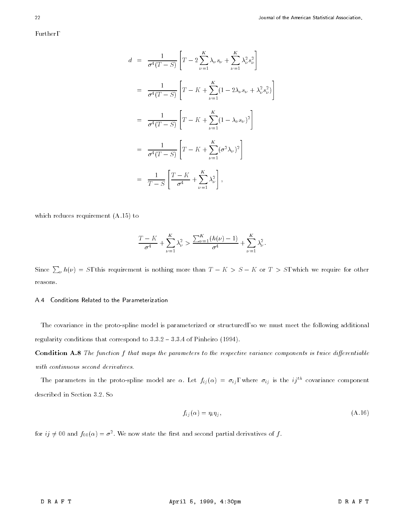Further,

$$
d = \frac{1}{\sigma^4 (T - S)} \left[ T - 2 \sum_{\nu=1}^K \lambda_{\nu} s_{\nu} + \sum_{\nu=1}^K \lambda_{\nu}^2 s_{\nu}^2 \right]
$$
  
\n
$$
= \frac{1}{\sigma^4 (T - S)} \left[ T - K + \sum_{\nu=1}^K (1 - 2 \lambda_{\nu} s_{\nu} + \lambda_{\nu}^2 s_{\nu}^2) \right]
$$
  
\n
$$
= \frac{1}{\sigma^4 (T - S)} \left[ T - K + \sum_{\nu=1}^K (1 - \lambda_{\nu} s_{\nu})^2 \right]
$$
  
\n
$$
= \frac{1}{\sigma^4 (T - S)} \left[ T - K + \sum_{\nu=1}^K (\sigma^2 \lambda_{\nu})^2 \right]
$$
  
\n
$$
= \frac{1}{T - S} \left[ \frac{T - K}{\sigma^4} + \sum_{\nu=1}^K \lambda_{\nu}^2 \right],
$$

which reduces requirement (A.15) to

$$
\frac{T-K}{\sigma^4} + \sum_{\nu=1}^{K} \lambda_{\nu}^2 > \frac{\sum_{\nu=1}^{K} (h(\nu) - 1)}{\sigma^4} + \sum_{\nu=1}^{K} \lambda_{\nu}^2.
$$

Since  $\sum_{\nu} h(\nu) = S$ , this requirement is nothing more than  $T - K > S - K$  or  $T > S$ , which we require for other reasons.

#### A.4 Conditions Related to the Parameterization

The covariance in the proto-spline model is parameterized or structured, so we must meet the following additional regularity conditions that correspond to  $3.3.2 - 3.3.4$  of Pinheiro (1994).

**Condition A.8** The function  $f$  that maps the parameters to the respective variance components is twice differentiable with continuous second derivatives.

The parameters in the proto-spline model are  $\alpha$ . Let  $f_{ij}(\alpha) = \sigma_{ij}$ , where  $\sigma_{ij}$  is the  $ij^{th}$  covariance component described in Section 3.2. So

$$
f_{ij}(\alpha) = \eta_i \eta_j,\tag{A.16}
$$

for  $ij\neq 0$ 0 and  $f_{00}(\alpha)=\sigma$  . We now state the first and second partial derivatives of  $j$  .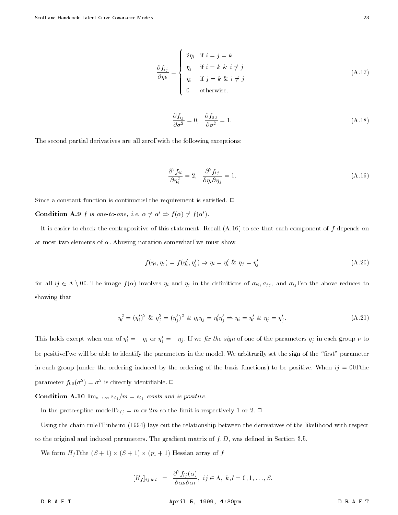$$
\frac{\partial f_{ij}}{\partial \eta_k} = \begin{cases}\n2\eta_i & \text{if } i = j = k \\
\eta_j & \text{if } i = k \& i \neq j \\
\eta_i & \text{if } j = k \& i \neq j \\
0 & \text{otherwise.} \n\end{cases}
$$
\n(A.17)

$$
\frac{\partial f_{ij}}{\partial \sigma^2} = 0, \quad \frac{\partial f_{00}}{\partial \sigma^2} = 1.
$$
\n(A.18)

The second partial derivatives are all zero, with the following exceptions:

$$
\frac{\partial^2 f_{ii}}{\partial \eta_i^2} = 2, \quad \frac{\partial^2 f_{ij}}{\partial \eta_i \partial \eta_j} = 1.
$$
\n(A.19)

Since a constant function is continuous, the requirement is satisfied.  $\Box$ 

**Condition A.9** f is one-to-one, i.e.  $\alpha \neq \alpha' \Rightarrow f(\alpha) \neq f(\alpha')$ .

It is easier to check the contrapositive of this statement. Recall  $(A.16)$  to see that each component of f depends on at most two elements of  $\alpha$ . Abusing notation somewhat, we must show

$$
f(\eta_i, \eta_j) = f(\eta'_i, \eta'_j) \Rightarrow \eta_i = \eta'_i \& \eta_j = \eta'_j \tag{A.20}
$$

for all  $ij \in \Lambda \setminus 00$ . The image  $f(\alpha)$  involves  $\eta_i$  and  $\eta_j$  in the definitions of  $\sigma_{ii}, \sigma_{jj}$ , and  $\sigma_{ij}$ , so the above reduces to showing that

$$
\eta_i^2 = (\eta_i')^2 \& \eta_j^2 = (\eta_j')^2 \& \eta_i \eta_j = \eta_i' \eta_j' \Rightarrow \eta_i = \eta_i' \& \eta_j = \eta_j'.
$$
 (A.21)

This holds except when one of  $\eta_i = -\eta_i$  or  $\eta_j = -\eta_j$ . If we *fix the sign* of one of the parameters  $\eta_j$  in each group  $\nu$  to be positive, we will be able to identify the parameters in the model. We arbitrarily set the sign of the "first" parameter in each group (under the ordering induced by the ordering of the basis functions) to be positive. When  $ij = 00$ , the parameter  $f_{00}(\sigma^-) = \sigma^-$  is directly identifiable.  $\Box$ 

**Condition A.10**  $\lim_{n\to\infty} v_{ij}/m = s_{ij}$  exists and is positive.

In the proto-spline model,  $v_{ij} = m$  or 2m so the limit is respectively 1 or 2.  $\Box$ 

Using the chain rule, Pinheiro (1994) lays out the relationship between the derivatives of the likelihood with respect to the original and induced parameters. The gradient matrix of  $f, D$ , was defined in Section 3.5.

 $\mathcal{M}$  , the form Hf , the (S  $\mathcal{M}$  )  $\mathcal{M}$  ,  $\mathcal{M}$  ,  $\mathcal{M}$  ,  $\mathcal{M}$  ,  $\mathcal{M}$  ,  $\mathcal{M}$  ,  $\mathcal{M}$  ,  $\mathcal{M}$  ,  $\mathcal{M}$  ,  $\mathcal{M}$  ,  $\mathcal{M}$  ,  $\mathcal{M}$  ,  $\mathcal{M}$  ,  $\mathcal{M}$  ,  $\mathcal{M}$  ,  $\mathcal{M}$  ,  $\$ 

$$
[H_f]_{ij,k,l} = \frac{\partial^2 f_{ij}(\alpha)}{\partial \alpha_k \partial \alpha_l}, \; ij \in \Lambda, \; k, l = 0, 1, \ldots, S.
$$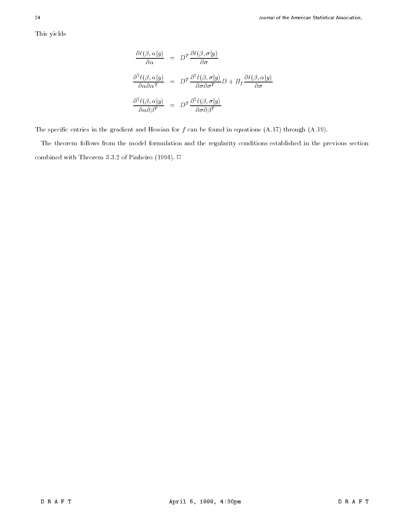This yields

$$
\frac{\partial \ell(\beta, \alpha | y)}{\partial \alpha} = D^T \frac{\partial \ell(\beta, \sigma | y)}{\partial \sigma}
$$

$$
\frac{\partial^2 \ell(\beta, \alpha | y)}{\partial \alpha \partial \alpha^T} = D^T \frac{\partial^2 \ell(\beta, \sigma | y)}{\partial \sigma \partial \sigma^T} D + H_f \frac{\partial \ell(\beta, \alpha | y)}{\partial \sigma}
$$

$$
\frac{\partial^2 \ell(\beta, \alpha | y)}{\partial \alpha \partial \beta^T} = D^T \frac{\partial^2 \ell(\beta, \sigma | y)}{\partial \sigma \partial \beta^T}
$$

The specific entries in the gradient and Hessian for  $f$  can be found in equations  $(A.17)$  through  $(A.19)$ .

The theorem follows from the model formulation and the regularity conditions established in the previous section combined with Theorem 3.3.2 of Pinheiro (1994).  $\Box$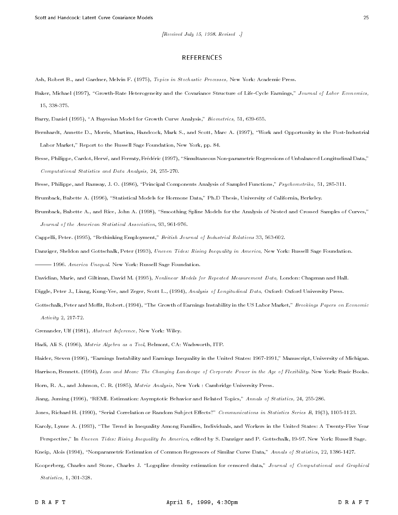#### REFERENCES

Ash, Robert B., and Gardner, Melvin F. (1975), Topics in Stochastic Processes, New York: Academic Press.

- Baker, Michael (1997), "Growth-Rate Heterogeneity and the Covariance Structure of Life-Cycle Earnings," Journal of Labor Economics, 15, 338-375.
- Barry, Daniel (1995), "A Bayesian Model for Growth Curve Analysis," Biometrics, 51, 639-655.
- Bernhardt, Annette D., Morris, Martina, Handcock, Mark S., and Scott, Marc A. (1997), "Work and Opportunity in the Post-Industrial Labor Market," Report to the Russell Sage Foundation, New York, pp. 84.
- Besse, Philippe, Cardot, Hervé, and Ferraty, Frédéric (1997), "Simultaneous Non-parametric Regressions of Unbalanced Longitudinal Data," Computational Statistics and Data Analysis, 24, 255-270.
- Besse, Philippe, and Ramsay, J. O. (1986), "Principal Components Analysis of Sampled Functions," Psychometrika, 51, 285-311.

Brumback, Babette A. (1996), "Statistical Models for Hormone Data," Ph.D Thesis, University of California, Berkeley.

Brumback, Babette A., and Rice, John A. (1998), "Smoothing Spline Models for the Analysis of Nested and Crossed Samples of Curves," Journal of the American Statistical Association, 93, 961-976.

Cappelli, Peter. (1995), "Rethinking Employment," British Journal of Industrial Relations 33, 563-602.

Danziger, Sheldon and Gottschalk, Peter (1993), Uneven Tides: Rising Inequality in America, New York: Russell Sage Foundation.

 $-$  1996. America Unequal. New York: Russell Sage Foundation.

Davidian, Marie, and Giltinan, David M. (1995), Nonlinear Models for Repeated Measurement Data, London: Chapman and Hall.

Diggle, Peter J., Liang, Kung-Yee, and Zeger, Scott L., (1994), Analysis of Longitudinal Data, Oxford: Oxford University Press.

Gottschalk, Peter and Moffit, Robert. (1994), "The Growth of Earnings Instability in the US Labor Market," Brookings Papers on Economic Activity 2, 217-72.

Grenander, Ulf (1981), Abstract Inference, New York: Wiley.

Hadi, Ali S. (1996), Matrix Algebra as a Tool, Belmont, CA: Wadsworth, ITP.

Haider, Steven (1996), "Earnings Instability and Earnings Inequality in the United States: 1967-1991," Manuscript, University of Michigan.

Harrison, Bennett. (1994), Lean and Mean: The Changing Landscape of Corporate Power in the Age of Flexibility. New York: Basic Books.

Horn, R. A., and Johnson, C. R. (1985), Matrix Analysis, New York : Cambridge University Press.

Jiang, Juming (1996), "REML Estimation: Asymptotic Behavior and Related Topics," Annals of Statistics, 24, 255-286.

Jones, Richard H. (1990), "Serial Correlation or Random Subject Effects?" Communications in Statistics Series B, 19(3), 1105-1123.

Karoly, Lynne A. (1993), "The Trend in Inequality Among Families, Individuals, and Workers in the United States: A Twenty-Five Year Perspective," In Uneven Tides: Rising Inequality In America, edited by S. Danziger and P. Gottschalk, 19-97. New York: Russell Sage.

Kneip, Alois (1994), "Nonparametric Estimation of Common Regressors of Similar Curve Data," Annals of Statistics, 22, 1386-1427.

Kooperberg, Charles and Stone, Charles J. "Logspline density estimation for censored data," Journal of Computational and Graphical Statistics, 1, 301-328.